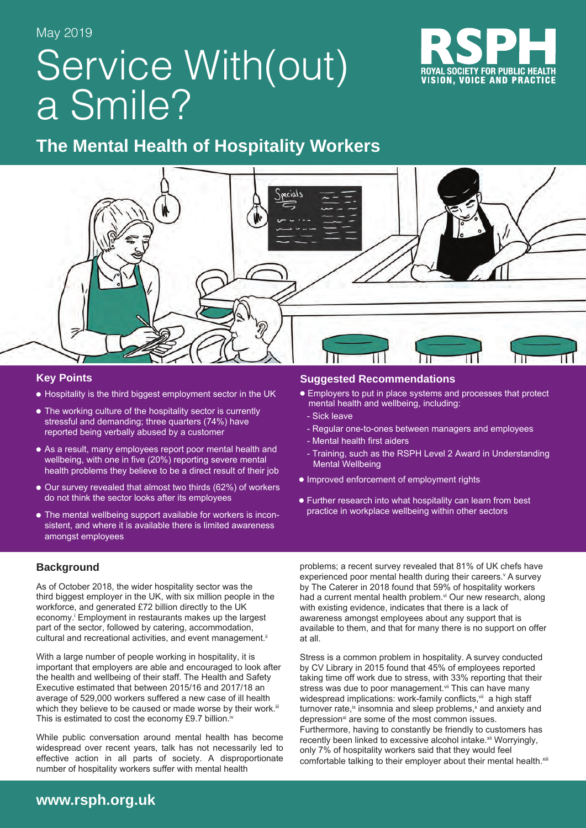# Service With(out) a Smile?



# **The Mental Health of Hospitality Workers**



### **Key Points**

- Hospitality is the third biggest employment sector in the UK
- The working culture of the hospitality sector is currently stressful and demanding; three quarters (74%) have reported being verbally abused by a customer
- As a result, many employees report poor mental health and wellbeing, with one in five (20%) reporting severe mental health problems they believe to be a direct result of their job
- Our survey revealed that almost two thirds (62%) of workers do not think the sector looks after its employees
- The mental wellbeing support available for workers is inconsistent, and where it is available there is limited awareness amongst employees

### **Suggested Recommendations**

- Employers to put in place systems and processes that protect mental health and wellbeing, including:
- Sick leave
- Regular one-to-ones between managers and employees
- Mental health first aiders
- Training, such as the RSPH Level 2 Award in Understanding Mental Wellbeing
- **Improved enforcement of employment rights**
- Further research into what hospitality can learn from best practice in workplace wellbeing within other sectors

### **Background**

As of October 2018, the wider hospitality sector was the third biggest employer in the UK, with six million people in the workforce, and generated £72 billion directly to the UK economy.<sup>i</sup> Employment in restaurants makes up the largest part of the sector, followed by catering, accommodation, cultural and recreational activities, and event management.<sup>ii</sup>

With a large number of people working in hospitality, it is important that employers are able and encouraged to look after the health and wellbeing of their staff. The Health and Safety Executive estimated that between 2015/16 and 2017/18 an average of 529,000 workers suffered a new case of ill health which they believe to be caused or made worse by their work.iii This is estimated to cost the economy £9.7 billion.<sup>iv</sup>

While public conversation around mental health has become widespread over recent years, talk has not necessarily led to effective action in all parts of society. A disproportionate number of hospitality workers suffer with mental health

problems; a recent survey revealed that 81% of UK chefs have experienced poor mental health during their careers. A survey by The Caterer in 2018 found that 59% of hospitality workers had a current mental health problem.<sup>vi</sup> Our new research, along with existing evidence, indicates that there is a lack of awareness amongst employees about any support that is available to them, and that for many there is no support on offer at all.

Stress is a common problem in hospitality. A survey conducted by CV Library in 2015 found that 45% of employees reported taking time off work due to stress, with 33% reporting that their stress was due to poor management.<sup>vii</sup> This can have many widespread implications: work-family conflicts, vii a high staff turnover rate, $\mathbf{\dot{z}}$  insomnia and sleep problems, $\mathbf{\dot{z}}$  and anxiety and depression<sup>xi</sup> are some of the most common issues. Furthermore, having to constantly be friendly to customers has recently been linked to excessive alcohol intake.<sup>xii</sup> Worryingly, only 7% of hospitality workers said that they would feel comfortable talking to their employer about their mental health. Xili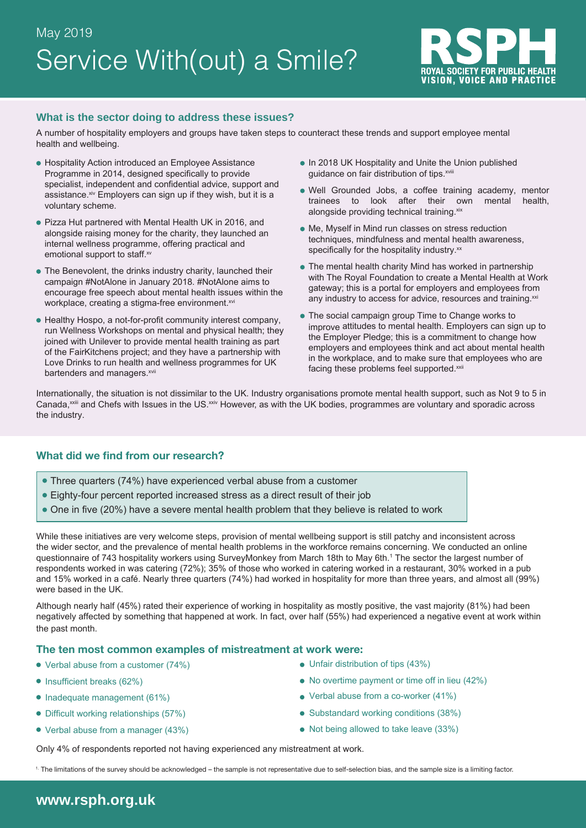

### **What is the sector doing to address these issues?**

A number of hospitality employers and groups have taken steps to counteract these trends and support employee mental health and wellbeing.

- Hospitality Action introduced an Employee Assistance Programme in 2014, designed specifically to provide specialist, independent and confidential advice, support and assistance.<sup>xiv</sup> Employers can sign up if they wish, but it is a voluntary scheme.
- Pizza Hut partnered with Mental Health UK in 2016, and alongside raising money for the charity, they launched an internal wellness programme, offering practical and emotional support to staff.xv
- The Benevolent, the drinks industry charity, launched their campaign #NotAlone in January 2018. #NotAlone aims to encourage free speech about mental health issues within the workplace, creating a stigma-free environment.xvi
- Healthy Hospo, a not-for-profit community interest company, run Wellness Workshops on mental and physical health; they joined with Unilever to provide mental health training as part of the FairKitchens project; and they have a partnership with Love Drinks to run health and wellness programmes for UK bartenders and managers.<sup>xvii</sup>
- In 2018 UK Hospitality and Unite the Union published guidance on fair distribution of tips. xviii
- Well Grounded Jobs, a coffee training academy, mentor trainees to look after their own mental health, alongside providing technical training.xix
- Me, Myself in Mind run classes on stress reduction techniques, mindfulness and mental health awareness, specifically for the hospitality industry.<sup>xx</sup>
- The mental health charity Mind has worked in partnership with The Royal Foundation to create a Mental Health at Work gateway; this is a portal for employers and employees from any industry to access for advice, resources and training.<sup>xxi</sup>
- The social campaign group Time to Change works to improve attitudes to mental health. Employers can sign up to the Employer Pledge; this is a commitment to change how employers and employees think and act about mental health in the workplace, and to make sure that employees who are facing these problems feel supported.<sup>xxii</sup>

Internationally, the situation is not dissimilar to the UK. Industry organisations promote mental health support, such as Not 9 to 5 in Canada,<sup>xxiii</sup> and Chefs with Issues in the US.<sup>xxiv</sup> However, as with the UK bodies, programmes are voluntary and sporadic across the industry.

### **What did we find from our research?**

- Three quarters (74%) have experienced verbal abuse from a customer
- Eighty-four percent reported increased stress as a direct result of their job
- One in five (20%) have a severe mental health problem that they believe is related to work

While these initiatives are very welcome steps, provision of mental wellbeing support is still patchy and inconsistent across the wider sector, and the prevalence of mental health problems in the workforce remains concerning. We conducted an online questionnaire of 743 hospitality workers using SurveyMonkey from March 18th to May 6th.<sup>1</sup> The sector the largest number of respondents worked in was catering (72%); 35% of those who worked in catering worked in a restaurant, 30% worked in a pub and 15% worked in a café. Nearly three quarters (74%) had worked in hospitality for more than three years, and almost all (99%) were based in the UK.

Although nearly half (45%) rated their experience of working in hospitality as mostly positive, the vast majority (81%) had been negatively affected by something that happened at work. In fact, over half (55%) had experienced a negative event at work within the past month.

### **The ten most common examples of mistreatment at work were:**

- Verbal abuse from a customer (74%)
- $\bullet$  Insufficient breaks (62%)
- Inadequate management (61%)
- Difficult working relationships (57%)
- Verbal abuse from a manager (43%)
- Unfair distribution of tips (43%)
- No overtime payment or time off in lieu (42%)
- Verbal abuse from a co-worker (41%)
- Substandard working conditions (38%)
- Not being allowed to take leave (33%)

Only 4% of respondents reported not having experienced any mistreatment at work.

1. The limitations of the survey should be acknowledged – the sample is not representative due to self-selection bias, and the sample size is a limiting factor.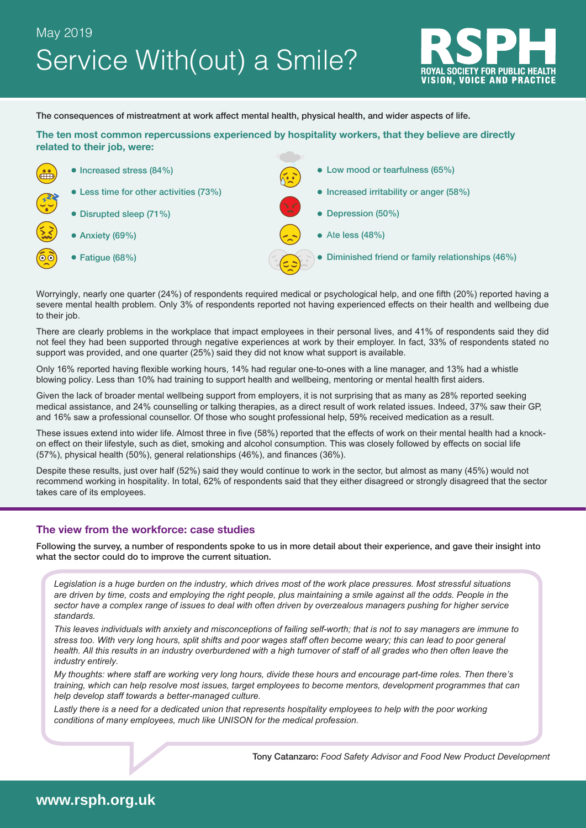# Service With(out) a Smile? May 2019



The consequences of mistreatment at work affect mental health, physical health, and wider aspects of life.

**The ten most common repercussions experienced by hospitality workers, that they believe are directly related to their job, were:**



Worryingly, nearly one quarter (24%) of respondents required medical or psychological help, and one fifth (20%) reported having a severe mental health problem. Only 3% of respondents reported not having experienced effects on their health and wellbeing due to their job.

There are clearly problems in the workplace that impact employees in their personal lives, and 41% of respondents said they did not feel they had been supported through negative experiences at work by their employer. In fact, 33% of respondents stated no support was provided, and one quarter (25%) said they did not know what support is available.

Only 16% reported having flexible working hours, 14% had regular one-to-ones with a line manager, and 13% had a whistle blowing policy. Less than 10% had training to support health and wellbeing, mentoring or mental health first aiders.

Given the lack of broader mental wellbeing support from employers, it is not surprising that as many as 28% reported seeking medical assistance, and 24% counselling or talking therapies, as a direct result of work related issues. Indeed, 37% saw their GP, and 16% saw a professional counsellor. Of those who sought professional help, 59% received medication as a result.

These issues extend into wider life. Almost three in five (58%) reported that the effects of work on their mental health had a knockon effect on their lifestyle, such as diet, smoking and alcohol consumption. This was closely followed by effects on social life (57%), physical health (50%), general relationships (46%), and finances (36%).

Despite these results, just over half (52%) said they would continue to work in the sector, but almost as many (45%) would not recommend working in hospitality. In total, 62% of respondents said that they either disagreed or strongly disagreed that the sector takes care of its employees.

### **The view from the workforce: case studies**

Following the survey, a number of respondents spoke to us in more detail about their experience, and gave their insight into what the sector could do to improve the current situation.

*Legislation is a huge burden on the industry, which drives most of the work place pressures. Most stressful situations are driven by time, costs and employing the right people, plus maintaining a smile against all the odds. People in the sector have a complex range of issues to deal with often driven by overzealous managers pushing for higher service standards.* 

*This leaves individuals with anxiety and misconceptions of failing self-worth; that is not to say managers are immune to stress too. With very long hours, split shifts and poor wages staff often become weary; this can lead to poor general*  health. All this results in an industry overburdened with a high turnover of staff of all grades who then often leave the *industry entirely.*

*My thoughts: where staff are working very long hours, divide these hours and encourage part-time roles. Then there's training, which can help resolve most issues, target employees to become mentors, development programmes that can help develop staff towards a better-managed culture.* 

*Lastly there is a need for a dedicated union that represents hospitality employees to help with the poor working conditions of many employees, much like UNISON for the medical profession.*

Tony Catanzaro: *Food Safety Advisor and Food New Product Development*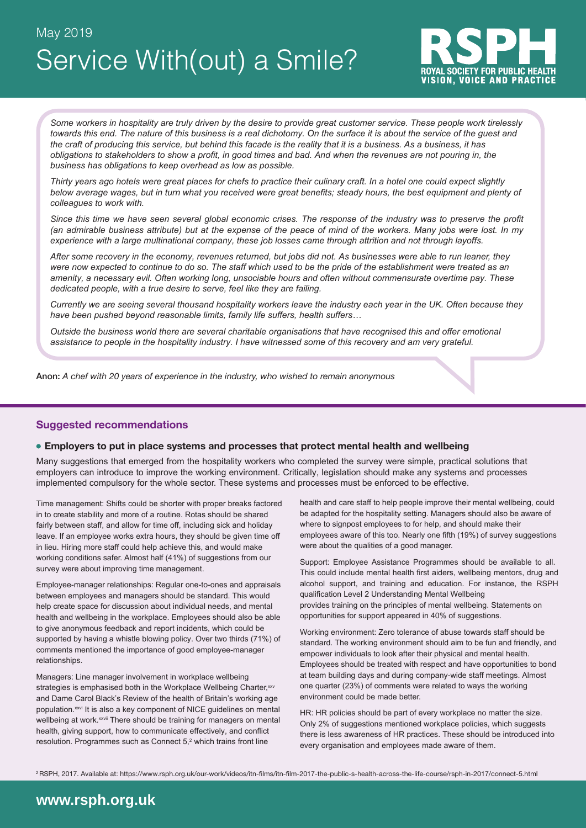Service With(out) a Smile? May 2019



*Some workers in hospitality are truly driven by the desire to provide great customer service. These people work tirelessly towards this end. The nature of this business is a real dichotomy. On the surface it is about the service of the guest and the craft of producing this service, but behind this facade is the reality that it is a business. As a business, it has obligations to stakeholders to show a profit, in good times and bad. And when the revenues are not pouring in, the business has obligations to keep overhead as low as possible.* 

*Thirty years ago hotels were great places for chefs to practice their culinary craft. In a hotel one could expect slightly below average wages, but in turn what you received were great benefits; steady hours, the best equipment and plenty of colleagues to work with.* 

Since this time we have seen several global economic crises. The response of the industry was to preserve the profit *(an admirable business attribute) but at the expense of the peace of mind of the workers. Many jobs were lost. In my experience with a large multinational company, these job losses came through attrition and not through layoffs.* 

*After some recovery in the economy, revenues returned, but jobs did not. As businesses were able to run leaner, they were now expected to continue to do so. The staff which used to be the pride of the establishment were treated as an amenity, a necessary evil. Often working long, unsociable hours and often without commensurate overtime pay. These dedicated people, with a true desire to serve, feel like they are failing.* 

*Currently we are seeing several thousand hospitality workers leave the industry each year in the UK. Often because they have been pushed beyond reasonable limits, family life suffers, health suffers…*

*Outside the business world there are several charitable organisations that have recognised this and offer emotional assistance to people in the hospitality industry. I have witnessed some of this recovery and am very grateful.*

Anon: *A chef with 20 years of experience in the industry, who wished to remain anonymous*

### **Suggested recommendations**

#### **Employers to put in place systems and processes that protect mental health and wellbeing**

Many suggestions that emerged from the hospitality workers who completed the survey were simple, practical solutions that employers can introduce to improve the working environment. Critically, legislation should make any systems and processes implemented compulsory for the whole sector. These systems and processes must be enforced to be effective.

Time management: Shifts could be shorter with proper breaks factored in to create stability and more of a routine. Rotas should be shared fairly between staff, and allow for time off, including sick and holiday leave. If an employee works extra hours, they should be given time off in lieu. Hiring more staff could help achieve this, and would make working conditions safer. Almost half (41%) of suggestions from our survey were about improving time management.

Employee-manager relationships: Regular one-to-ones and appraisals between employees and managers should be standard. This would help create space for discussion about individual needs, and mental health and wellbeing in the workplace. Employees should also be able to give anonymous feedback and report incidents, which could be supported by having a whistle blowing policy. Over two thirds (71%) of comments mentioned the importance of good employee-manager relationships.

Managers: Line manager involvement in workplace wellbeing strategies is emphasised both in the Workplace Wellbeing Charter, xxv and Dame Carol Black's Review of the health of Britain's working age population.<sup>xxvi</sup> It is also a key component of NICE quidelines on mental wellbeing at work.<sup>xxvii</sup> There should be training for managers on mental health, giving support, how to communicate effectively, and conflict resolution. Programmes such as Connect  $5<sup>2</sup>$  which trains front line

health and care staff to help people improve their mental wellbeing, could be adapted for the hospitality setting. Managers should also be aware of where to signpost employees to for help, and should make their employees aware of this too. Nearly one fifth (19%) of survey suggestions were about the qualities of a good manager.

Support: Employee Assistance Programmes should be available to all. This could include mental health first aiders, wellbeing mentors, drug and alcohol support, and training and education. For instance, the RSPH qualification Level 2 Understanding Mental Wellbeing provides training on the principles of mental wellbeing. Statements on opportunities for support appeared in 40% of suggestions.

Working environment: Zero tolerance of abuse towards staff should be standard. The working environment should aim to be fun and friendly, and empower individuals to look after their physical and mental health. Employees should be treated with respect and have opportunities to bond at team building days and during company-wide staff meetings. Almost one quarter (23%) of comments were related to ways the working environment could be made better.

HR: HR policies should be part of every workplace no matter the size. Only 2% of suggestions mentioned workplace policies, which suggests there is less awareness of HR practices. These should be introduced into every organisation and employees made aware of them.

<sup>2</sup>RSPH, 2017. Available at: https://www.rsph.org.uk/our-work/videos/itn-films/itn-film-2017-the-public-s-health-across-the-life-course/rsph-in-2017/connect-5.html